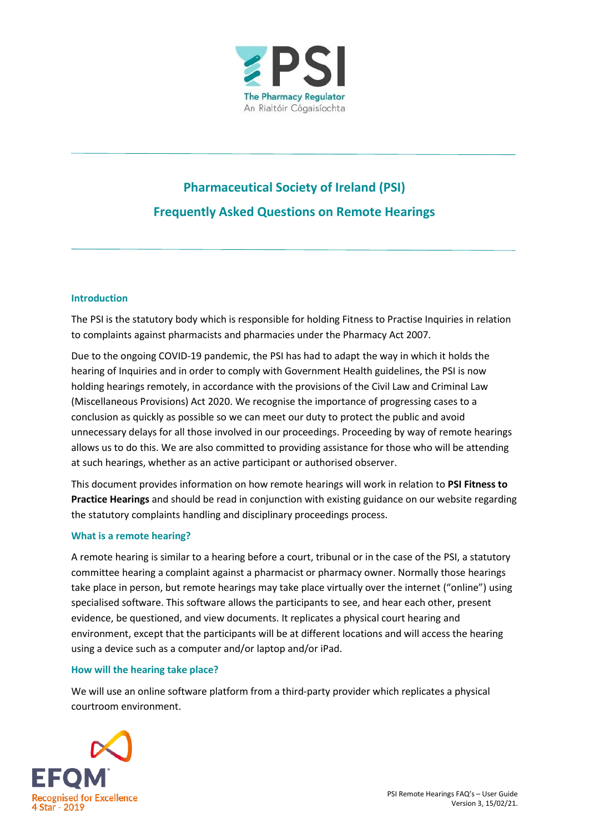

# **Pharmaceutical Society of Ireland (PSI) Frequently Asked Questions on Remote Hearings**

# **Introduction**

The PSI is the statutory body which is responsible for holding Fitness to Practise Inquiries in relation to complaints against pharmacists and pharmacies under the Pharmacy Act 2007.

Due to the ongoing COVID-19 pandemic, the PSI has had to adapt the way in which it holds the hearing of Inquiries and in order to comply with Government Health guidelines, the PSI is now holding hearings remotely, in accordance with the provisions of the Civil Law and Criminal Law (Miscellaneous Provisions) Act 2020. We recognise the importance of progressing cases to a conclusion as quickly as possible so we can meet our duty to protect the public and avoid unnecessary delays for all those involved in our proceedings. Proceeding by way of remote hearings allows us to do this. We are also committed to providing assistance for those who will be attending at such hearings, whether as an active participant or authorised observer.

This document provides information on how remote hearings will work in relation to **PSI Fitness to Practice Hearings** and should be read in conjunction with existing guidance on our website regarding the statutory complaints handling and disciplinary proceedings process.

### **What is a remote hearing?**

A remote hearing is similar to a hearing before a court, tribunal or in the case of the PSI, a statutory committee hearing a complaint against a pharmacist or pharmacy owner. Normally those hearings take place in person, but remote hearings may take place virtually over the internet ("online") using specialised software. This software allows the participants to see, and hear each other, present evidence, be questioned, and view documents. It replicates a physical court hearing and environment, except that the participants will be at different locations and will access the hearing using a device such as a computer and/or laptop and/or iPad.

### **How will the hearing take place?**

We will use an online software platform from a third-party provider which replicates a physical courtroom environment.

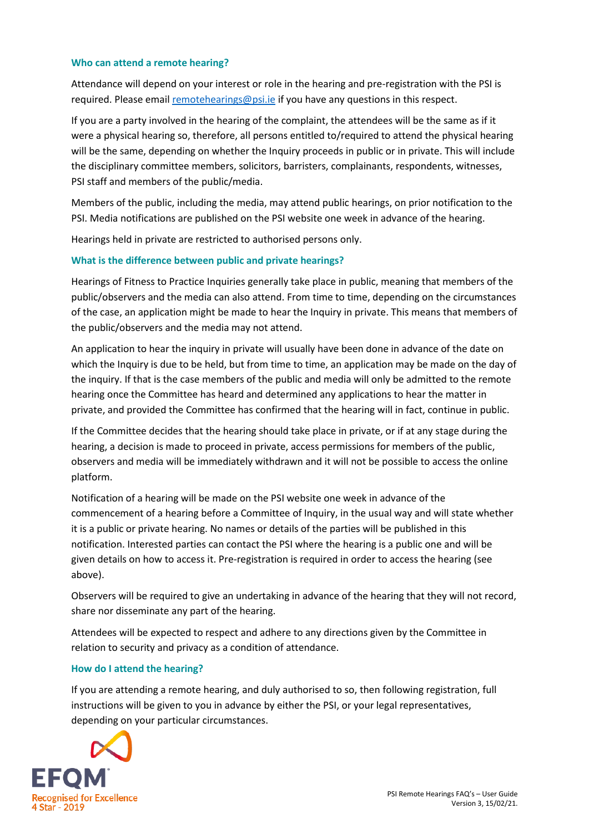## **Who can attend a remote hearing?**

Attendance will depend on your interest or role in the hearing and pre-registration with the PSI is required. Please email [remotehearings@psi.ie](mailto:remotehearings@psi.ie) if you have any questions in this respect.

If you are a party involved in the hearing of the complaint, the attendees will be the same as if it were a physical hearing so, therefore, all persons entitled to/required to attend the physical hearing will be the same, depending on whether the Inquiry proceeds in public or in private. This will include the disciplinary committee members, solicitors, barristers, complainants, respondents, witnesses, PSI staff and members of the public/media.

Members of the public, including the media, may attend public hearings, on prior notification to the PSI. Media notifications are published on the PSI website one week in advance of the hearing.

Hearings held in private are restricted to authorised persons only.

# **What is the difference between public and private hearings?**

Hearings of Fitness to Practice Inquiries generally take place in public, meaning that members of the public/observers and the media can also attend. From time to time, depending on the circumstances of the case, an application might be made to hear the Inquiry in private. This means that members of the public/observers and the media may not attend.

An application to hear the inquiry in private will usually have been done in advance of the date on which the Inquiry is due to be held, but from time to time, an application may be made on the day of the inquiry. If that is the case members of the public and media will only be admitted to the remote hearing once the Committee has heard and determined any applications to hear the matter in private, and provided the Committee has confirmed that the hearing will in fact, continue in public.

If the Committee decides that the hearing should take place in private, or if at any stage during the hearing, a decision is made to proceed in private, access permissions for members of the public, observers and media will be immediately withdrawn and it will not be possible to access the online platform.

Notification of a hearing will be made on the PSI website one week in advance of the commencement of a hearing before a Committee of Inquiry, in the usual way and will state whether it is a public or private hearing. No names or details of the parties will be published in this notification. Interested parties can contact the PSI where the hearing is a public one and will be given details on how to access it. Pre-registration is required in order to access the hearing (see above).

Observers will be required to give an undertaking in advance of the hearing that they will not record, share nor disseminate any part of the hearing.

Attendees will be expected to respect and adhere to any directions given by the Committee in relation to security and privacy as a condition of attendance.

### **How do I attend the hearing?**

If you are attending a remote hearing, and duly authorised to so, then following registration, full instructions will be given to you in advance by either the PSI, or your legal representatives, depending on your particular circumstances.

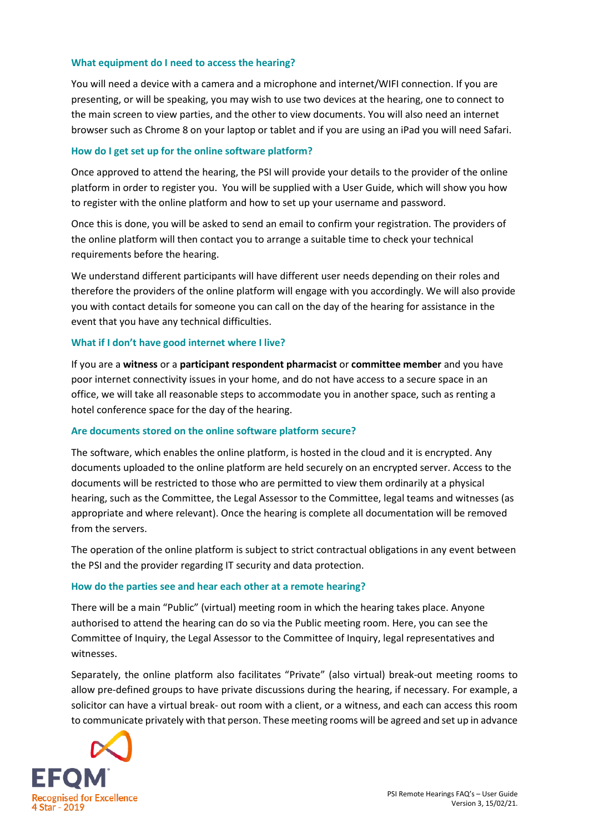### **What equipment do I need to access the hearing?**

You will need a device with a camera and a microphone and internet/WIFI connection. If you are presenting, or will be speaking, you may wish to use two devices at the hearing, one to connect to the main screen to view parties, and the other to view documents. You will also need an internet browser such as Chrome 8 on your laptop or tablet and if you are using an iPad you will need Safari.

### **How do I get set up for the online software platform?**

Once approved to attend the hearing, the PSI will provide your details to the provider of the online platform in order to register you. You will be supplied with a User Guide, which will show you how to register with the online platform and how to set up your username and password.

Once this is done, you will be asked to send an email to confirm your registration. The providers of the online platform will then contact you to arrange a suitable time to check your technical requirements before the hearing.

We understand different participants will have different user needs depending on their roles and therefore the providers of the online platform will engage with you accordingly. We will also provide you with contact details for someone you can call on the day of the hearing for assistance in the event that you have any technical difficulties.

### **What if I don't have good internet where I live?**

If you are a **witness** or a **participant respondent pharmacist** or **committee member** and you have poor internet connectivity issues in your home, and do not have access to a secure space in an office, we will take all reasonable steps to accommodate you in another space, such as renting a hotel conference space for the day of the hearing.

### **Are documents stored on the online software platform secure?**

The software, which enables the online platform, is hosted in the cloud and it is encrypted. Any documents uploaded to the online platform are held securely on an encrypted server. Access to the documents will be restricted to those who are permitted to view them ordinarily at a physical hearing, such as the Committee, the Legal Assessor to the Committee, legal teams and witnesses (as appropriate and where relevant). Once the hearing is complete all documentation will be removed from the servers.

The operation of the online platform is subject to strict contractual obligations in any event between the PSI and the provider regarding IT security and data protection.

### **How do the parties see and hear each other at a remote hearing?**

There will be a main "Public" (virtual) meeting room in which the hearing takes place. Anyone authorised to attend the hearing can do so via the Public meeting room. Here, you can see the Committee of Inquiry, the Legal Assessor to the Committee of Inquiry, legal representatives and witnesses.

Separately, the online platform also facilitates "Private" (also virtual) break-out meeting rooms to allow pre-defined groups to have private discussions during the hearing, if necessary. For example, a solicitor can have a virtual break- out room with a client, or a witness, and each can access this room to communicate privately with that person. These meeting rooms will be agreed and set up in advance